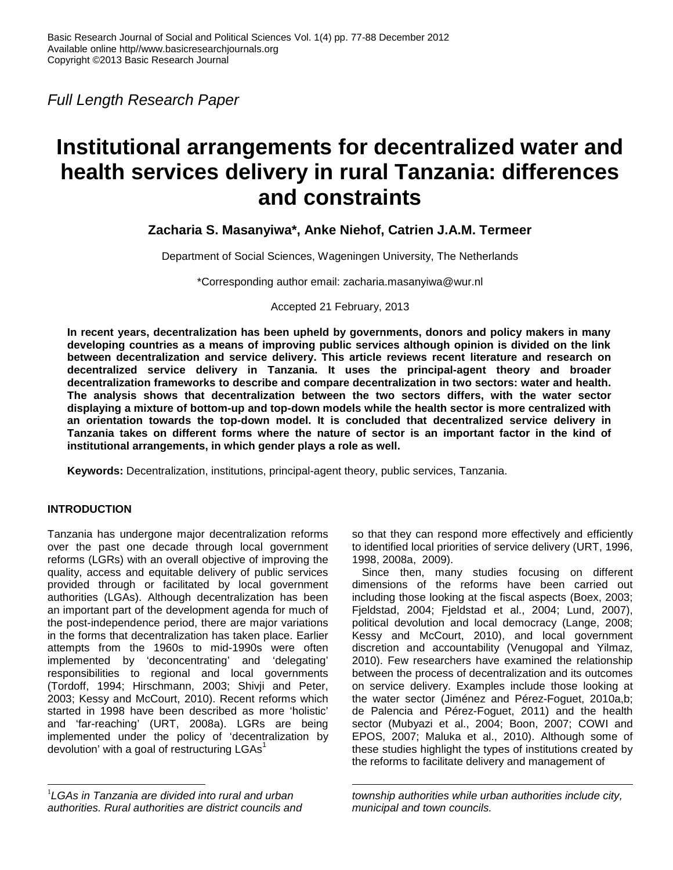*Full Length Research Paper*

# **Institutional arrangements for decentralized water and health services delivery in rural Tanzania: differences and constraints**

## **Zacharia S. Masanyiwa\*, Anke Niehof, Catrien J.A.M. Termeer**

Department of Social Sciences, Wageningen University, The Netherlands

\*Corresponding author email: zacharia.masanyiwa@wur.nl

Accepted 21 February, 2013

**In recent years, decentralization has been upheld by governments, donors and policy makers in many developing countries as a means of improving public services although opinion is divided on the link between decentralization and service delivery. This article reviews recent literature and research on decentralized service delivery in Tanzania. It uses the principal-agent theory and broader decentralization frameworks to describe and compare decentralization in two sectors: water and health. The analysis shows that decentralization between the two sectors differs, with the water sector displaying a mixture of bottom-up and top-down models while the health sector is more centralized with an orientation towards the top-down model. It is concluded that decentralized service delivery in Tanzania takes on different forms where the nature of sector is an important factor in the kind of institutional arrangements, in which gender plays a role as well.**

**Keywords:** Decentralization, institutions, principal-agent theory, public services, Tanzania.

## **INTRODUCTION**

Tanzania has undergone major decentralization reforms over the past one decade through local government reforms (LGRs) with an overall objective of improving the quality, access and equitable delivery of public services provided through or facilitated by local government authorities (LGAs). Although decentralization has been an important part of the development agenda for much of the post-independence period, there are major variations in the forms that decentralization has taken place. Earlier attempts from the 1960s to mid-1990s were often implemented by 'deconcentrating' and 'delegating' responsibilities to regional and local governments (Tordoff, 1994; Hirschmann, 2003; Shivji and Peter, 2003; Kessy and McCourt, 2010). Recent reforms which started in 1998 have been described as more 'holistic' and 'far-reaching' (URT, 2008a). LGRs are being implemented under the policy of 'decentralization by devolution' with a goal of restructuring  $LGAs<sup>1</sup>$ 

<sup>1</sup>*LGAs in Tanzania are divided into rural and urban authorities. Rural authorities are district councils and* so that they can respond more effectively and efficiently to identified local priorities of service delivery (URT, 1996, 1998, 2008a, 2009).

Since then, many studies focusing on different dimensions of the reforms have been carried out including those looking at the fiscal aspects (Boex, 2003; Fjeldstad, 2004; Fjeldstad et al., 2004; Lund, 2007), political devolution and local democracy (Lange, 2008; Kessy and McCourt, 2010), and local government discretion and accountability (Venugopal and Yilmaz, 2010). Few researchers have examined the relationship between the process of decentralization and its outcomes on service delivery. Examples include those looking at the water sector (Jiménez and Pérez-Foguet, 2010a,b; de Palencia and Pérez-Foguet, 2011) and the health sector (Mubyazi et al., 2004; Boon, 2007; COWI and EPOS, 2007; Maluka et al., 2010). Although some of these studies highlight the types of institutions created by the reforms to facilitate delivery and management of

*township authorities while urban authorities include city, municipal and town councils.*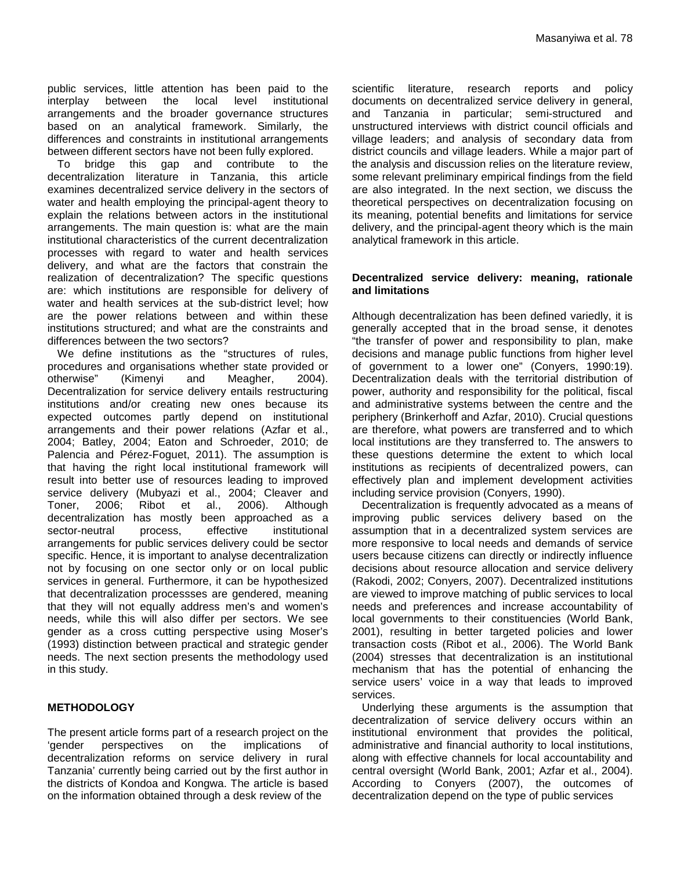public services, little attention has been paid to the interplay between the local level institutional arrangements and the broader governance structures based on an analytical framework. Similarly, the differences and constraints in institutional arrangements between different sectors have not been fully explored.

To bridge this gap and contribute to the decentralization literature in Tanzania, this article examines decentralized service delivery in the sectors of water and health employing the principal-agent theory to explain the relations between actors in the institutional arrangements. The main question is: what are the main institutional characteristics of the current decentralization processes with regard to water and health services delivery, and what are the factors that constrain the realization of decentralization? The specific questions are: which institutions are responsible for delivery of water and health services at the sub-district level; how are the power relations between and within these institutions structured; and what are the constraints and differences between the two sectors?

We define institutions as the "structures of rules, procedures and organisations whether state provided or otherwise" (Kimenyi and Meagher, 2004). Decentralization for service delivery entails restructuring institutions and/or creating new ones because its expected outcomes partly depend on institutional arrangements and their power relations (Azfar et al., 2004; Batley, 2004; Eaton and Schroeder, 2010; de Palencia and Pérez-Foguet, 2011). The assumption is that having the right local institutional framework will result into better use of resources leading to improved service delivery (Mubyazi et al., 2004; Cleaver and Toner, 2006; Ribot et al., 2006). Although decentralization has mostly been approached as a sector-neutral process, effective institutional arrangements for public services delivery could be sector specific. Hence, it is important to analyse decentralization not by focusing on one sector only or on local public services in general. Furthermore, it can be hypothesized that decentralization processses are gendered, meaning that they will not equally address men's and women's needs, while this will also differ per sectors. We see gender as a cross cutting perspective using Moser's (1993) distinction between practical and strategic gender needs. The next section presents the methodology used in this study.

#### **METHODOLOGY**

The present article forms part of a research project on the 'gender perspectives on the implications of decentralization reforms on service delivery in rural Tanzania' currently being carried out by the first author in the districts of Kondoa and Kongwa. The article is based on the information obtained through a desk review of the

scientific literature, research reports and policy documents on decentralized service delivery in general, Tanzania in particular; semi-structured and unstructured interviews with district council officials and village leaders; and analysis of secondary data from district councils and village leaders. While a major part of the analysis and discussion relies on the literature review, some relevant preliminary empirical findings from the field are also integrated. In the next section, we discuss the theoretical perspectives on decentralization focusing on its meaning, potential benefits and limitations for service delivery, and the principal-agent theory which is the main analytical framework in this article.

#### **Decentralized service delivery: meaning, rationale and limitations**

Although decentralization has been defined variedly, it is generally accepted that in the broad sense, it denotes "the transfer of power and responsibility to plan, make decisions and manage public functions from higher level of government to a lower one" (Conyers, 1990:19). Decentralization deals with the territorial distribution of power, authority and responsibility for the political, fiscal and administrative systems between the centre and the periphery (Brinkerhoff and Azfar, 2010). Crucial questions are therefore, what powers are transferred and to which local institutions are they transferred to. The answers to these questions determine the extent to which local institutions as recipients of decentralized powers, can effectively plan and implement development activities including service provision (Conyers, 1990).

Decentralization is frequently advocated as a means of improving public services delivery based on the assumption that in a decentralized system services are more responsive to local needs and demands of service users because citizens can directly or indirectly influence decisions about resource allocation and service delivery (Rakodi, 2002; Conyers, 2007). Decentralized institutions are viewed to improve matching of public services to local needs and preferences and increase accountability of local governments to their constituencies (World Bank, 2001), resulting in better targeted policies and lower transaction costs (Ribot et al., 2006). The World Bank (2004) stresses that decentralization is an institutional mechanism that has the potential of enhancing the service users' voice in a way that leads to improved services.

Underlying these arguments is the assumption that decentralization of service delivery occurs within an institutional environment that provides the political, administrative and financial authority to local institutions, along with effective channels for local accountability and central oversight (World Bank, 2001; Azfar et al., 2004). According to Conyers (2007), the outcomes of decentralization depend on the type of public services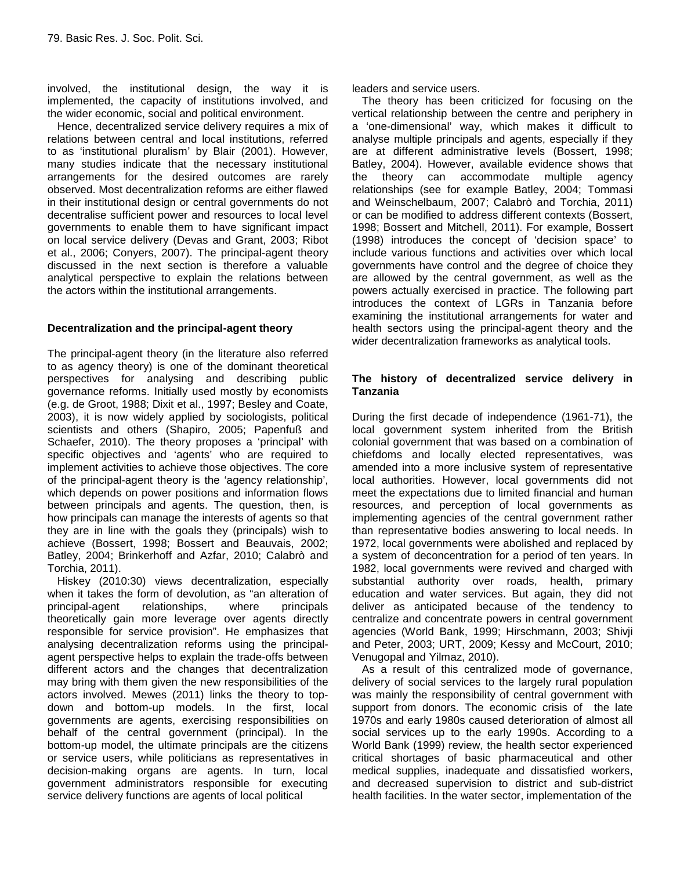involved, the institutional design, the way it is implemented, the capacity of institutions involved, and the wider economic, social and political environment.

Hence, decentralized service delivery requires a mix of relations between central and local institutions, referred to as 'institutional pluralism' by Blair (2001). However, many studies indicate that the necessary institutional arrangements for the desired outcomes are rarely observed. Most decentralization reforms are either flawed in their institutional design or central governments do not decentralise sufficient power and resources to local level governments to enable them to have significant impact on local service delivery (Devas and Grant, 2003; Ribot et al., 2006; Conyers, 2007). The principal-agent theory discussed in the next section is therefore a valuable analytical perspective to explain the relations between the actors within the institutional arrangements.

#### **Decentralization and the principal-agent theory**

The principal-agent theory (in the literature also referred to as agency theory) is one of the dominant theoretical perspectives for analysing and describing public governance reforms. Initially used mostly by economists (e.g. de Groot, 1988; Dixit et al., 1997; Besley and Coate, 2003), it is now widely applied by sociologists, political scientists and others (Shapiro, 2005; Papenfuß and Schaefer, 2010). The theory proposes a 'principal' with specific objectives and 'agents' who are required to implement activities to achieve those objectives. The core of the principal-agent theory is the 'agency relationship', which depends on power positions and information flows between principals and agents. The question, then, is how principals can manage the interests of agents so that they are in line with the goals they (principals) wish to achieve (Bossert, 1998; Bossert and Beauvais, 2002; Batley, 2004; Brinkerhoff and Azfar, 2010; Calabrò and Torchia, 2011).

Hiskey (2010:30) views decentralization, especially when it takes the form of devolution, as "an alteration of principal-agent relationships, where principals theoretically gain more leverage over agents directly responsible for service provision". He emphasizes that analysing decentralization reforms using the principal agent perspective helps to explain the trade-offs between different actors and the changes that decentralization may bring with them given the new responsibilities of the actors involved. Mewes (2011) links the theory to top down and bottom-up models. In the first, local governments are agents, exercising responsibilities on behalf of the central government (principal). In the bottom-up model, the ultimate principals are the citizens or service users, while politicians as representatives in decision-making organs are agents. In turn, local government administrators responsible for executing service delivery functions are agents of local political

leaders and service users.

The theory has been criticized for focusing on the vertical relationship between the centre and periphery in a 'one-dimensional' way, which makes it difficult to analyse multiple principals and agents, especially if they are at different administrative levels (Bossert, 1998; Batley, 2004). However, available evidence shows that theory can accommodate multiple agency relationships (see for example Batley, 2004; Tommasi and Weinschelbaum, 2007; Calabrò and Torchia, 2011) or can be modified to address different contexts (Bossert, 1998; Bossert and Mitchell, 2011). For example, Bossert (1998) introduces the concept of 'decision space' to include various functions and activities over which local governments have control and the degree of choice they are allowed by the central government, as well as the powers actually exercised in practice. The following part introduces the context of LGRs in Tanzania before examining the institutional arrangements for water and health sectors using the principal-agent theory and the wider decentralization frameworks as analytical tools.

#### **The history of decentralized service delivery in Tanzania**

During the first decade of independence (1961-71), the local government system inherited from the British colonial government that was based on a combination of chiefdoms and locally elected representatives, was amended into a more inclusive system of representative local authorities. However, local governments did not meet the expectations due to limited financial and human resources, and perception of local governments as implementing agencies of the central government rather than representative bodies answering to local needs. In 1972, local governments were abolished and replaced by a system of deconcentration for a period of ten years. In 1982, local governments were revived and charged with substantial authority over roads, health, primary education and water services. But again, they did not deliver as anticipated because of the tendency to centralize and concentrate powers in central government agencies (World Bank, 1999; Hirschmann, 2003; Shivji and Peter, 2003; URT, 2009; Kessy and McCourt, 2010; Venugopal and Yilmaz, 2010).

As a result of this centralized mode of governance, delivery of social services to the largely rural population was mainly the responsibility of central government with support from donors. The economic crisis of the late 1970s and early 1980s caused deterioration of almost all social services up to the early 1990s. According to a World Bank (1999) review, the health sector experienced critical shortages of basic pharmaceutical and other medical supplies, inadequate and dissatisfied workers, and decreased supervision to district and sub-district health facilities. In the water sector, implementation of the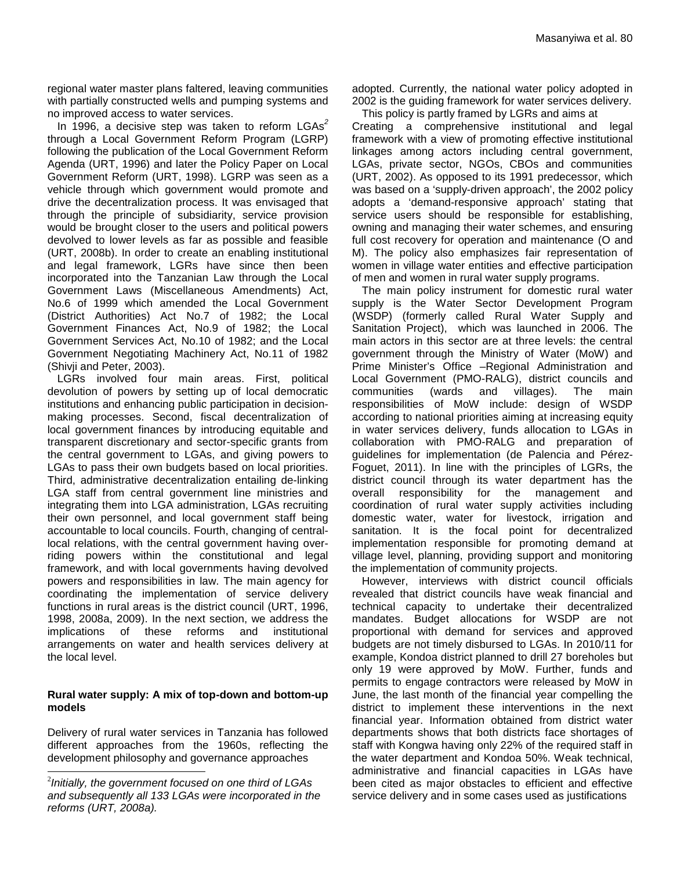regional water master plans faltered, leaving communities with partially constructed wells and pumping systems and no improved access to water services.

In 1996, a decisive step was taken to reform LGAs *2* through a Local Government Reform Program (LGRP) following the publication of the Local Government Reform Agenda (URT, 1996) and later the Policy Paper on Local Government Reform (URT, 1998). LGRP was seen as a vehicle through which government would promote and drive the decentralization process. It was envisaged that through the principle of subsidiarity, service provision would be brought closer to the users and political powers devolved to lower levels as far as possible and feasible (URT, 2008b). In order to create an enabling institutional and legal framework, LGRs have since then been incorporated into the Tanzanian Law through the Local Government Laws (Miscellaneous Amendments) Act, No.6 of 1999 which amended the Local Government (District Authorities) Act No.7 of 1982; the Local Government Finances Act, No.9 of 1982; the Local Government Services Act, No.10 of 1982; and the Local Government Negotiating Machinery Act, No.11 of 1982 (Shivji and Peter, 2003).

LGRs involved four main areas. First, political devolution of powers by setting up of local democratic institutions and enhancing public participation in decision making processes. Second, fiscal decentralization of local government finances by introducing equitable and transparent discretionary and sector-specific grants from the central government to LGAs, and giving powers to LGAs to pass their own budgets based on local priorities. Third, administrative decentralization entailing de-linking LGA staff from central government line ministries and overall integrating them into LGA administration, LGAs recruiting their own personnel, and local government staff being accountable to local councils. Fourth, changing of centrallocal relations, with the central government having overriding powers within the constitutional and legal framework, and with local governments having devolved powers and responsibilities in law. The main agency for coordinating the implementation of service delivery functions in rural areas is the district council (URT, 1996, 1998, 2008a, 2009). In the next section, we address the implications of these reforms and institutional arrangements on water and health services delivery at the local level.

#### **Rural water supply: A mix of top-down and bottom-up models**

Delivery of rural water services in Tanzania has followed different approaches from the 1960s, reflecting the development philosophy and governance approaches

adopted. Currently, the national water policy adopted in 2002 is the guiding framework for water services delivery.

This policy is partly framed by LGRs and aims at Creating a comprehensive institutional and legal framework with a view of promoting effective institutional linkages among actors including central government, LGAs, private sector, NGOs, CBOs and communities (URT, 2002). As opposed to its 1991 predecessor, which was based on a 'supply-driven approach', the 2002 policy adopts a 'demand-responsive approach' stating that service users should be responsible for establishing, owning and managing their water schemes, and ensuring full cost recovery for operation and maintenance (O and M). The policy also emphasizes fair representation of women in village water entities and effective participation of men and women in rural water supply programs.

The main policy instrument for domestic rural water supply is the Water Sector Development Program (WSDP) (formerly called Rural Water Supply and Sanitation Project), which was launched in 2006. The main actors in this sector are at three levels: the central government through the Ministry of Water (MoW) and Prime Minister's Office –Regional Administration and Local Government (PMO-RALG), district councils and (wards and villages). The main responsibilities of MoW include: design of WSDP according to national priorities aiming at increasing equity in water services delivery, funds allocation to LGAs in collaboration with PMO-RALG and preparation of guidelines for implementation (de Palencia and Pérez- Foguet, 2011). In line with the principles of LGRs, the district council through its water department has the responsibility for the management and coordination of rural water supply activities including domestic water, water for livestock, irrigation and sanitation. It is the focal point for decentralized implementation responsible for promoting demand at village level, planning, providing support and monitoring the implementation of community projects.

However, interviews with district council officials revealed that district councils have weak financial and technical capacity to undertake their decentralized mandates. Budget allocations for WSDP are not proportional with demand for services and approved budgets are not timely disbursed to LGAs. In 2010/11 for example, Kondoa district planned to drill 27 boreholes but only 19 were approved by MoW. Further, funds and permits to engage contractors were released by MoW in June, the last month of the financial year compelling the district to implement these interventions in the next financial year. Information obtained from district water departments shows that both districts face shortages of staff with Kongwa having only 22% of the required staff in the water department and Kondoa 50%. Weak technical, administrative and financial capacities in LGAs have been cited as major obstacles to efficient and effective service delivery and in some cases used as justifications

<sup>2</sup> *Initially, the government focused on one third of LGAs and subsequently all 133 LGAs were incorporated in the reforms (URT, 2008a).*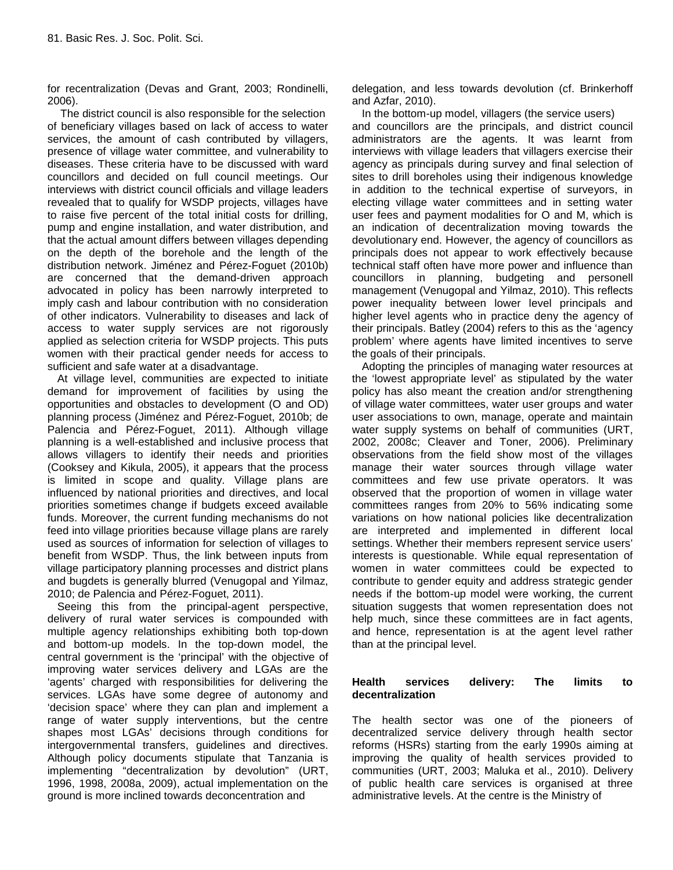for recentralization (Devas and Grant, 2003; Rondinelli, 2006).

The district council is also responsible for the selection of beneficiary villages based on lack of access to water services, the amount of cash contributed by villagers, presence of village water committee, and vulnerability to diseases. These criteria have to be discussed with ward councillors and decided on full council meetings. Our interviews with district council officials and village leaders revealed that to qualify for WSDP projects, villages have to raise five percent of the total initial costs for drilling, pump and engine installation, and water distribution, and that the actual amount differs between villages depending on the depth of the borehole and the length of the distribution network. Jiménez and Pérez-Foguet (2010b) are concerned that the demand-driven approach advocated in policy has been narrowly interpreted to imply cash and labour contribution with no consideration of other indicators. Vulnerability to diseases and lack of access to water supply services are not rigorously applied as selection criteria for WSDP projects. This puts women with their practical gender needs for access to sufficient and safe water at a disadvantage.

At village level, communities are expected to initiate demand for improvement of facilities by using the opportunities and obstacles to development (O and OD) planning process (Jiménez and Pérez-Foguet, 2010b; de Palencia and Pérez-Foguet, 2011). Although village planning is a well-established and inclusive process that allows villagers to identify their needs and priorities (Cooksey and Kikula, 2005), it appears that the process is limited in scope and quality. Village plans are influenced by national priorities and directives, and local priorities sometimes change if budgets exceed available funds. Moreover, the current funding mechanisms do not feed into village priorities because village plans are rarely used as sources of information for selection of villages to benefit from WSDP. Thus, the link between inputs from village participatory planning processes and district plans and bugdets is generally blurred (Venugopal and Yilmaz, 2010; de Palencia and Pérez-Foguet, 2011).

Seeing this from the principal-agent perspective, delivery of rural water services is compounded with multiple agency relationships exhibiting both top-down and bottom-up models. In the top-down model, the central government is the 'principal' with the objective of improving water services delivery and LGAs are the<br>'agents' charged with responsibilities for delivering the **Health** 'agents' charged with responsibilities for delivering the services. LGAs have some degree of autonomy and 'decision space' where they can plan and implement a range of water supply interventions, but the centre shapes most LGAs' decisions through conditions for intergovernmental transfers, guidelines and directives. Although policy documents stipulate that Tanzania is implementing "decentralization by devolution" (URT, 1996, 1998, 2008a, 2009), actual implementation on the ground is more inclined towards deconcentration and

delegation, and less towards devolution (cf. Brinkerhoff and Azfar, 2010).

In the bottom-up model, villagers (the service users) and councillors are the principals, and district council administrators are the agents. It was learnt from interviews with village leaders that villagers exercise their agency as principals during survey and final selection of sites to drill boreholes using their indigenous knowledge in addition to the technical expertise of surveyors, in electing village water committees and in setting water user fees and payment modalities for O and M, which is an indication of decentralization moving towards the devolutionary end. However, the agency of councillors as principals does not appear to work effectively because technical staff often have more power and influence than councillors in planning, budgeting and personell management (Venugopal and Yilmaz, 2010). This reflects power inequality between lower level principals and higher level agents who in practice deny the agency of their principals. Batley (2004) refers to this as the 'agency problem' where agents have limited incentives to serve the goals of their principals.

Adopting the principles of managing water resources at the 'lowest appropriate level' as stipulated by the water policy has also meant the creation and/or strengthening of village water committees, water user groups and water user associations to own, manage, operate and maintain water supply systems on behalf of communities (URT, 2002, 2008c; Cleaver and Toner, 2006). Preliminary observations from the field show most of the villages manage their water sources through village water committees and few use private operators. It was observed that the proportion of women in village water committees ranges from 20% to 56% indicating some variations on how national policies like decentralization are interpreted and implemented in different local settings. Whether their members represent service users' interests is questionable. While equal representation of women in water committees could be expected to contribute to gender equity and address strategic gender needs if the bottom-up model were working, the current situation suggests that women representation does not help much, since these committees are in fact agents, and hence, representation is at the agent level rather than at the principal level.

#### services delivery: The limits to **decentralization**

The health sector was one of the pioneers of decentralized service delivery through health sector reforms (HSRs) starting from the early 1990s aiming at improving the quality of health services provided to communities (URT, 2003; Maluka et al., 2010). Delivery of public health care services is organised at three administrative levels. At the centre is the Ministry of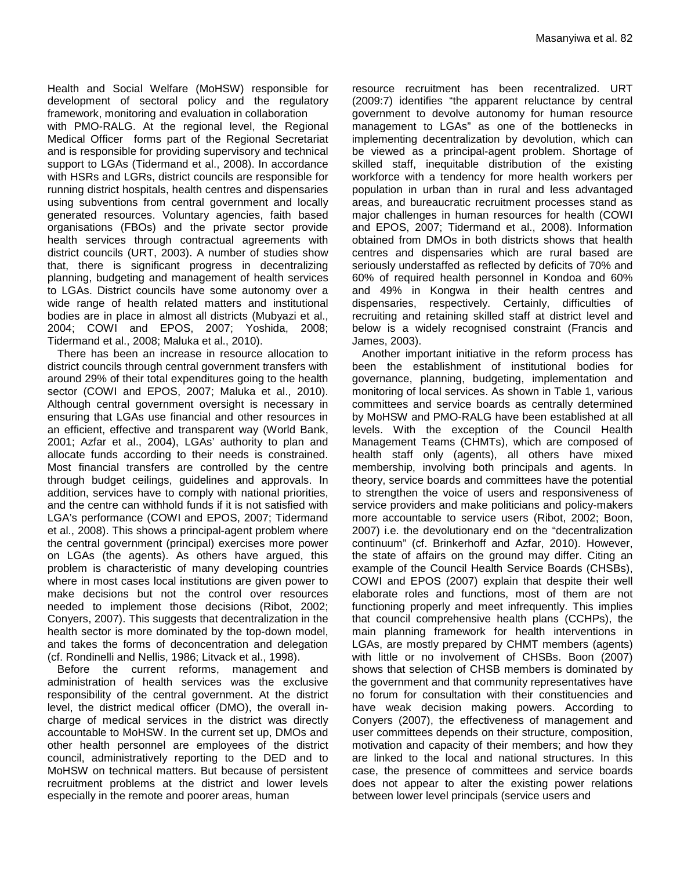Health and Social Welfare (MoHSW) responsible for development of sectoral policy and the regulatory framework, monitoring and evaluation in collaboration with PMO-RALG. At the regional level, the Regional Medical Officer forms part of the Regional Secretariat and is responsible for providing supervisory and technical support to LGAs (Tidermand et al., 2008). In accordance with HSRs and LGRs, district councils are responsible for running district hospitals, health centres and dispensaries using subventions from central government and locally generated resources. Voluntary agencies, faith based

organisations (FBOs) and the private sector provide health services through contractual agreements with district councils (URT, 2003). A number of studies show that, there is significant progress in decentralizing planning, budgeting and management of health services to LGAs. District councils have some autonomy over a wide range of health related matters and institutional bodies are in place in almost all districts (Mubyazi et al., 2004; COWI and EPOS, 2007; Yoshida, 2008; Tidermand et al., 2008; Maluka et al., 2010).

There has been an increase in resource allocation to district councils through central government transfers with around 29% of their total expenditures going to the health sector (COWI and EPOS, 2007; Maluka et al., 2010). Although central government oversight is necessary in ensuring that LGAs use financial and other resources in an efficient, effective and transparent way (World Bank, 2001; Azfar et al., 2004), LGAs' authority to plan and allocate funds according to their needs is constrained. Most financial transfers are controlled by the centre through budget ceilings, guidelines and approvals. In addition, services have to comply with national priorities, and the centre can withhold funds if it is not satisfied with LGA's performance (COWI and EPOS, 2007; Tidermand et al., 2008). This shows a principal-agent problem where the central government (principal) exercises more power on LGAs (the agents). As others have argued, this problem is characteristic of many developing countries where in most cases local institutions are given power to make decisions but not the control over resources needed to implement those decisions (Ribot, 2002; Conyers, 2007). This suggests that decentralization in the health sector is more dominated by the top-down model, and takes the forms of deconcentration and delegation (cf. Rondinelli and Nellis, 1986; Litvack et al., 1998).

Before the current reforms, management and administration of health services was the exclusive responsibility of the central government. At the district level, the district medical officer (DMO), the overall in charge of medical services in the district was directly accountable to MoHSW. In the current set up, DMOs and other health personnel are employees of the district council, administratively reporting to the DED and to MoHSW on technical matters. But because of persistent recruitment problems at the district and lower levels especially in the remote and poorer areas, human

resource recruitment has been recentralized. URT (2009:7) identifies "the apparent reluctance by central government to devolve autonomy for human resource management to LGAs" as one of the bottlenecks in implementing decentralization by devolution, which can be viewed as a principal-agent problem. Shortage of skilled staff, inequitable distribution of the existing workforce with a tendency for more health workers per population in urban than in rural and less advantaged areas, and bureaucratic recruitment processes stand as major challenges in human resources for health (COWI and EPOS, 2007; Tidermand et al., 2008). Information obtained from DMOs in both districts shows that health centres and dispensaries which are rural based are seriously understaffed as reflected by deficits of 70% and 60% of required health personnel in Kondoa and 60% and 49% in Kongwa in their health centres and dispensaries, respectively. Certainly, difficulties of recruiting and retaining skilled staff at district level and below is a widely recognised constraint (Francis and James, 2003).

Another important initiative in the reform process has been the establishment of institutional bodies for governance, planning, budgeting, implementation and monitoring of local services. As shown in Table 1, various committees and service boards as centrally determined by MoHSW and PMO-RALG have been established at all levels. With the exception of the Council Health Management Teams (CHMTs), which are composed of health staff only (agents), all others have mixed membership, involving both principals and agents. In theory, service boards and committees have the potential to strengthen the voice of users and responsiveness of service providers and make politicians and policy-makers more accountable to service users (Ribot, 2002; Boon, 2007) i.e. the devolutionary end on the "decentralization continuum" (cf. Brinkerhoff and Azfar, 2010). However, the state of affairs on the ground may differ. Citing an example of the Council Health Service Boards (CHSBs), COWI and EPOS (2007) explain that despite their well elaborate roles and functions, most of them are not functioning properly and meet infrequently. This implies that council comprehensive health plans (CCHPs), the main planning framework for health interventions in LGAs, are mostly prepared by CHMT members (agents) with little or no involvement of CHSBs. Boon (2007) shows that selection of CHSB members is dominated by the government and that community representatives have no forum for consultation with their constituencies and have weak decision making powers. According to Conyers (2007), the effectiveness of management and user committees depends on their structure, composition, motivation and capacity of their members; and how they are linked to the local and national structures. In this case, the presence of committees and service boards does not appear to alter the existing power relations between lower level principals (service users and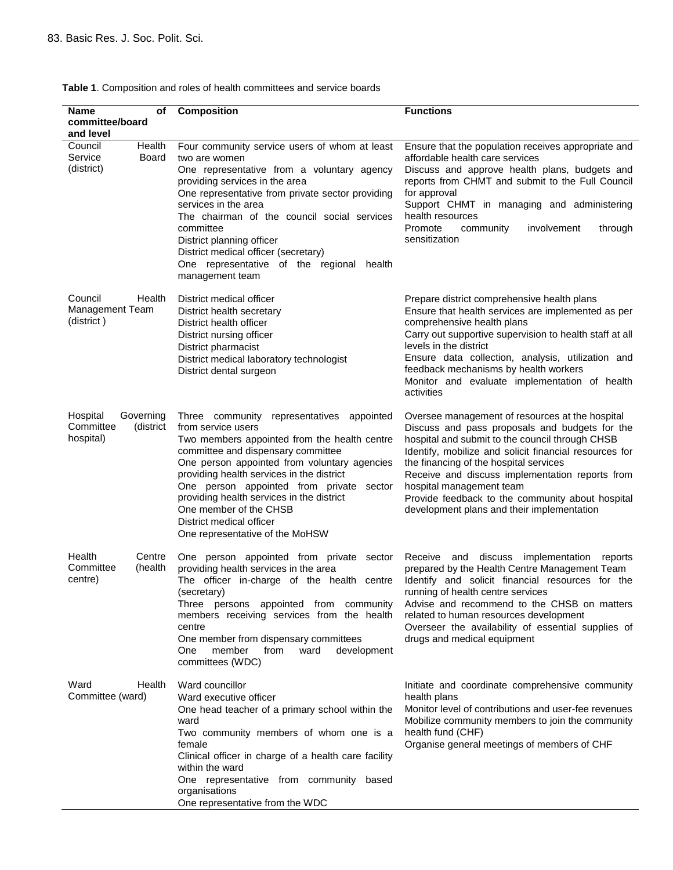| <b>Name</b><br>of<br>committee/board<br>and level            | <b>Composition</b>                                                                                                                                                                                                                                                                                                                                                                                                                      | <b>Functions</b>                                                                                                                                                                                                                                                                                                                                                                                                                          |
|--------------------------------------------------------------|-----------------------------------------------------------------------------------------------------------------------------------------------------------------------------------------------------------------------------------------------------------------------------------------------------------------------------------------------------------------------------------------------------------------------------------------|-------------------------------------------------------------------------------------------------------------------------------------------------------------------------------------------------------------------------------------------------------------------------------------------------------------------------------------------------------------------------------------------------------------------------------------------|
| Council<br>Health<br>Service<br>Board<br>(district)          | Four community service users of whom at least<br>two are women<br>One representative from a voluntary agency<br>providing services in the area<br>One representative from private sector providing<br>services in the area<br>The chairman of the council social services<br>committee<br>District planning officer<br>District medical officer (secretary)<br>One representative of the regional health<br>management team             | Ensure that the population receives appropriate and<br>affordable health care services<br>Discuss and approve health plans, budgets and<br>reports from CHMT and submit to the Full Council<br>for approval<br>Support CHMT in managing and administering<br>health resources<br>Promote<br>involvement<br>community<br>through<br>sensitization                                                                                          |
| Council<br>Health<br><b>Management Team</b><br>(district)    | District medical officer<br>District health secretary<br>District health officer<br>District nursing officer<br>District pharmacist<br>District medical laboratory technologist<br>District dental surgeon                                                                                                                                                                                                                              | Prepare district comprehensive health plans<br>Ensure that health services are implemented as per<br>comprehensive health plans<br>Carry out supportive supervision to health staff at all<br>levels in the district<br>Ensure data collection, analysis, utilization and<br>feedback mechanisms by health workers<br>Monitor and evaluate implementation of health<br>activities                                                         |
| Hospital<br>Governing<br>Committee<br>(district<br>hospital) | Three community<br>representatives appointed<br>from service users<br>Two members appointed from the health centre<br>committee and dispensary committee<br>One person appointed from voluntary agencies<br>providing health services in the district<br>One person appointed from private sector<br>providing health services in the district<br>One member of the CHSB<br>District medical officer<br>One representative of the MoHSW | Oversee management of resources at the hospital<br>Discuss and pass proposals and budgets for the<br>hospital and submit to the council through CHSB<br>Identify, mobilize and solicit financial resources for<br>the financing of the hospital services<br>Receive and discuss implementation reports from<br>hospital management team<br>Provide feedback to the community about hospital<br>development plans and their implementation |
| Health<br>Centre<br>Committee<br>(health<br>centre)          | One person appointed from private sector<br>providing health services in the area<br>The officer in-charge of the health centre<br>(secretary)<br>Three persons appointed from community<br>members receiving services from the health<br>centre<br>One member from dispensary committees<br>member<br>from<br>ward<br>development<br>One<br>committees (WDC)                                                                           | Receive and discuss implementation reports<br>prepared by the Health Centre Management Team<br>Identify and solicit financial resources for the<br>running of health centre services<br>Advise and recommend to the CHSB on matters<br>related to human resources development<br>Overseer the availability of essential supplies of<br>drugs and medical equipment                                                                        |
| Ward<br>Health<br>Committee (ward)                           | Ward councillor<br>Ward executive officer<br>One head teacher of a primary school within the<br>ward<br>Two community members of whom one is a<br>female<br>Clinical officer in charge of a health care facility<br>within the ward<br>One representative from community based<br>organisations<br>One representative from the WDC                                                                                                      | Initiate and coordinate comprehensive community<br>health plans<br>Monitor level of contributions and user-fee revenues<br>Mobilize community members to join the community<br>health fund (CHF)<br>Organise general meetings of members of CHF                                                                                                                                                                                           |

**Table 1**. Composition and roles of health committees and service boards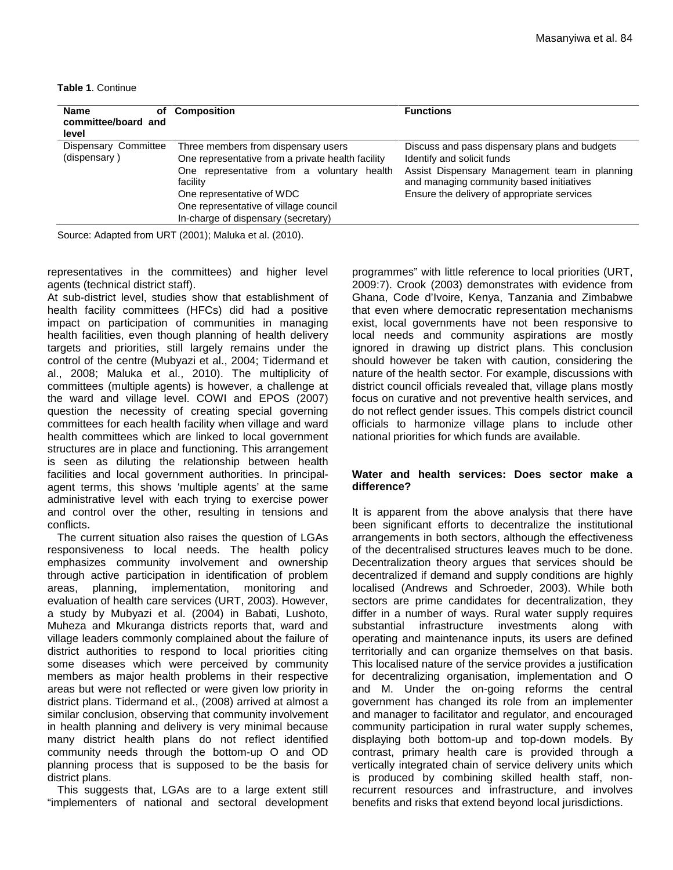**Table 1**. Continue

| <b>Name</b><br>оf<br>committee/board and<br>level | <b>Composition</b>                                                                                                                                                                                                                                              | <b>Functions</b>                                                                                                                                                                                                        |
|---------------------------------------------------|-----------------------------------------------------------------------------------------------------------------------------------------------------------------------------------------------------------------------------------------------------------------|-------------------------------------------------------------------------------------------------------------------------------------------------------------------------------------------------------------------------|
| Dispensary Committee<br>(dispensary)              | Three members from dispensary users<br>One representative from a private health facility<br>One representative from a voluntary health<br>facility<br>One representative of WDC<br>One representative of village council<br>In-charge of dispensary (secretary) | Discuss and pass dispensary plans and budgets<br>Identify and solicit funds<br>Assist Dispensary Management team in planning<br>and managing community based initiatives<br>Ensure the delivery of appropriate services |

Source: Adapted from URT (2001); Maluka et al. (2010).

representatives in the committees) and higher level agents (technical district staff).

At sub-district level, studies show that establishment of health facility committees (HFCs) did had a positive impact on participation of communities in managing health facilities, even though planning of health delivery targets and priorities, still largely remains under the control of the centre (Mubyazi et al., 2004; Tidermand et al., 2008; Maluka et al., 2010). The multiplicity of committees (multiple agents) is however, a challenge at the ward and village level. COWI and EPOS (2007) question the necessity of creating special governing committees for each health facility when village and ward health committees which are linked to local government structures are in place and functioning. This arrangement is seen as diluting the relationship between health facilities and local government authorities. In principal agent terms, this shows 'multiple agents' at the same administrative level with each trying to exercise power and control over the other, resulting in tensions and conflicts.

The current situation also raises the question of LGAs responsiveness to local needs. The health policy emphasizes community involvement and ownership through active participation in identification of problem areas, planning, implementation, monitoring and evaluation of health care services (URT, 2003). However, a study by Mubyazi et al. (2004) in Babati, Lushoto, Muheza and Mkuranga districts reports that, ward and village leaders commonly complained about the failure of district authorities to respond to local priorities citing some diseases which were perceived by community members as major health problems in their respective areas but were not reflected or were given low priority in district plans. Tidermand et al., (2008) arrived at almost a similar conclusion, observing that community involvement in health planning and delivery is very minimal because many district health plans do not reflect identified community needs through the bottom-up O and OD planning process that is supposed to be the basis for district plans.

This suggests that, LGAs are to a large extent still "implementers of national and sectoral development programmes" with little reference to local priorities (URT, 2009:7). Crook (2003) demonstrates with evidence from Ghana, Code d'Ivoire, Kenya, Tanzania and Zimbabwe that even where democratic representation mechanisms exist, local governments have not been responsive to local needs and community aspirations are mostly ignored in drawing up district plans. This conclusion should however be taken with caution, considering the nature of the health sector. For example, discussions with district council officials revealed that, village plans mostly focus on curative and not preventive health services, and do not reflect gender issues. This compels district council officials to harmonize village plans to include other national priorities for which funds are available.

#### **Water and health services: Does sector make a difference?**

It is apparent from the above analysis that there have been significant efforts to decentralize the institutional arrangements in both sectors, although the effectiveness of the decentralised structures leaves much to be done. Decentralization theory argues that services should be decentralized if demand and supply conditions are highly localised (Andrews and Schroeder, 2003). While both sectors are prime candidates for decentralization, they differ in a number of ways. Rural water supply requires substantial infrastructure investments along with operating and maintenance inputs, its users are defined territorially and can organize themselves on that basis. This localised nature of the service provides a justification for decentralizing organisation, implementation and O and M. Under the on-going reforms the central government has changed its role from an implementer and manager to facilitator and regulator, and encouraged community participation in rural water supply schemes, displaying both bottom-up and top-down models. By contrast, primary health care is provided through a vertically integrated chain of service delivery units which is produced by combining skilled health staff, nonrecurrent resources and infrastructure, and involves benefits and risks that extend beyond local jurisdictions.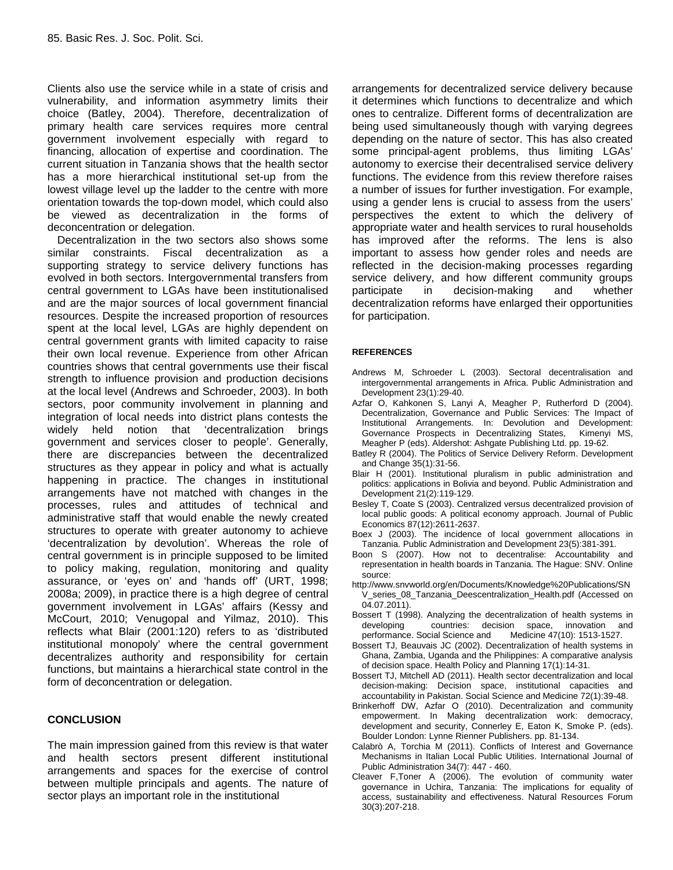Clients also use the service while in a state of crisis and vulnerability, and information asymmetry limits their choice (Batley, 2004). Therefore, decentralization of primary health care services requires more central government involvement especially with regard to financing, allocation of expertise and coordination. The current situation in Tanzania shows that the health sector has a more hierarchical institutional set-up from the lowest village level up the ladder to the centre with more orientation towards the top-down model, which could also be viewed as decentralization in the forms of deconcentration or delegation.

Decentralization in the two sectors also shows some similar constraints. Fiscal decentralization as a supporting strategy to service delivery functions has evolved in both sectors. Intergovernmental transfers from central government to LGAs have been institutionalised and are the major sources of local government financial resources. Despite the increased proportion of resources spent at the local level, LGAs are highly dependent on central government grants with limited capacity to raise their own local revenue. Experience from other African countries shows that central governments use their fiscal strength to influence provision and production decisions at the local level (Andrews and Schroeder, 2003). In both sectors, poor community involvement in planning and integration of local needs into district plans contests the widely held notion that 'decentralization brings government and services closer to people'. Generally, there are discrepancies between the decentralized structures as they appear in policy and what is actually happening in practice. The changes in institutional arrangements have not matched with changes in the processes, rules and attitudes of technical and administrative staff that would enable the newly created structures to operate with greater autonomy to achieve 'decentralization by devolution'. Whereas the role of central government is in principle supposed to be limited to policy making, regulation, monitoring and quality assurance, or 'eyes on' and 'hands off' (URT, 1998; 2008a; 2009), in practice there is a high degree of central government involvement in LGAs' affairs (Kessy and McCourt, 2010; Venugopal and Yilmaz, 2010). This Bossert 1 (19 reflects what Blair (2001:120) refers to as 'distributed institutional monopoly' where the central government decentralizes authority and responsibility for certain functions, but maintains a hierarchical state control in the form of deconcentration or delegation.

#### **CONCLUSION**

The main impression gained from this review is that water and health sectors present different institutional arrangements and spaces for the exercise of control between multiple principals and agents. The nature of sector plays an important role in the institutional

arrangements for decentralized service delivery because it determines which functions to decentralize and which ones to centralize. Different forms of decentralization are being used simultaneously though with varying degrees depending on the nature of sector. This has also created some principal-agent problems, thus limiting LGAs' autonomy to exercise their decentralised service delivery functions. The evidence from this review therefore raises a number of issues for further investigation. For example, using a gender lens is crucial to assess from the users' perspectives the extent to which the delivery of appropriate water and health services to rural households has improved after the reforms. The lens is also important to assess how gender roles and needs are reflected in the decision-making processes regarding service delivery, and how different community groups in decision-making and whether decentralization reforms have enlarged their opportunities for participation.

#### **REFERENCES**

- Andrews M, Schroeder L (2003). Sectoral decentralisation and intergovernmental arrangements in Africa. Public Administration and Development 23(1):29-40.
- Azfar O, Kahkonen S, Lanyi A, Meagher P, Rutherford D (2004). Decentralization, Governance and Public Services: The Impact of Institutional Arrangements. In: Devolution and Development: Governance Prospects in Decentralizing States, Kimenyi MS, Meagher P (eds). Aldershot: Ashgate Publishing Ltd. pp. 19-62.
- Batley R (2004). The Politics of Service Delivery Reform. Development and Change 35(1):31-56.
- Blair H (2001). Institutional pluralism in public administration and politics: applications in Bolivia and beyond. Public Administration and Development 21(2):119-129.
- Besley T, Coate S (2003). Centralized versus decentralized provision of local public goods: A political economy approach. Journal of Public Economics 87(12):2611-2637.
- Boex J (2003). The incidence of local government allocations in Tanzania. Public Administration and Development 23(5):381-391.
- Boon S (2007). How not to decentralise: Accountability and representation in health boards in Tanzania. The Hague: SNV. Online source:
- http://www.snvworld.org/en/Documents/Knowledge%20Publications/SN V\_series\_08\_Tanzania\_Deescentralization\_Health.pdf (Accessed on 04.07.2011).
- Bossert T (1998). Analyzing the decentralization of health systems in countries: decision space, innovation and<br>cial Science and Medicine 47(10): 1513-1527. performance. Social Science and
- Bossert TJ, Beauvais JC (2002). Decentralization of health systems in Ghana, Zambia, Uganda and the Philippines: A comparative analysis of decision space. Health Policy and Planning 17(1):14-31.
- Bossert TJ, Mitchell AD (2011). Health sector decentralization and local decision-making: Decision space, institutional capacities and accountability in Pakistan. Social Science and Medicine 72(1):39-48.
- Brinkerhoff DW, Azfar O (2010). Decentralization and community empowerment. In Making decentralization work: democracy, development and security, Connerley E, Eaton K, Smoke P. (eds). Boulder London: Lynne Rienner Publishers. pp. 81-134.
- Calabrò A, Torchia M (2011). Conflicts of Interest and Governance Mechanisms in Italian Local Public Utilities. International Journal of Public Administration 34(7): 447 - 460.
- Cleaver F,Toner A (2006). The evolution of community water governance in Uchira, Tanzania: The implications for equality of access, sustainability and effectiveness. Natural Resources Forum 30(3):207-218.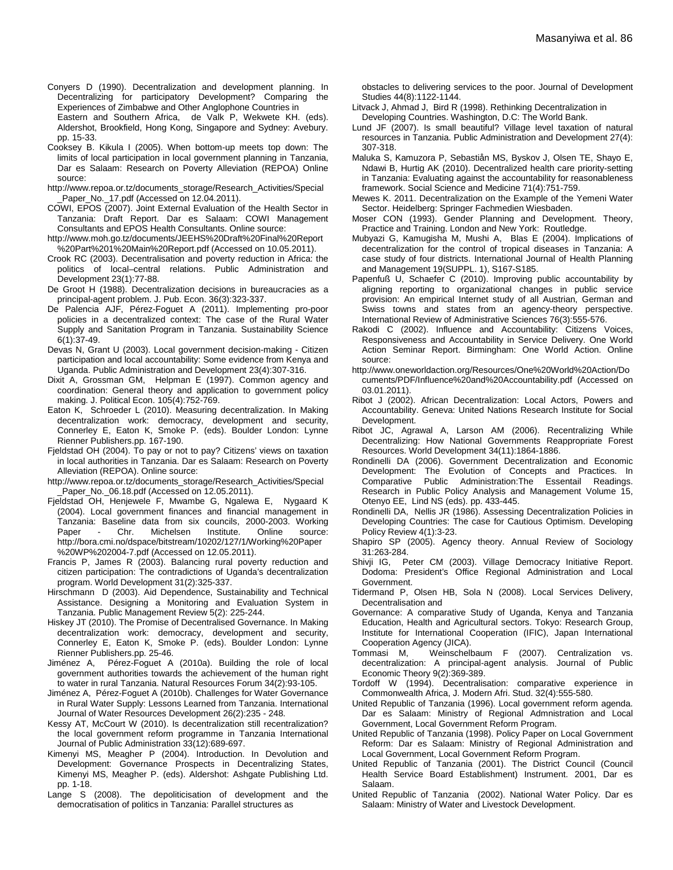Conyers D (1990). Decentralization and development planning. In Decentralizing for participatory Development? Comparing the Experiences of Zimbabwe and Other Anglophone Countries in Eastern and Southern Africa, de Valk P, Wekwete KH. (eds). Aldershot, Brookfield, Hong Kong, Singapore and Sydney: Avebury. pp. 15-33.

- Cooksey B. Kikula I (2005). When bottom-up meets top down: The limits of local participation in local government planning in Tanzania, Dar es Salaam: Research on Poverty Alleviation (REPOA) Online source:
- http://www.repoa.or.tz/documents\_storage/Research\_Activities/Special \_Paper\_No.\_17.pdf (Accessed on 12.04.2011).
- COWI, EPOS (2007). Joint External Evaluation of the Health Sector in Tanzania: Draft Report. Dar es Salaam: COWI Management Consultants and EPOS Health Consultants. Online source:
- http://www.moh.go.tz/documents/JEEHS%20Draft%20Final%20Report %20Part%201%20Main%20Report.pdf (Accessed on 10.05.2011).
- Crook RC (2003). Decentralisation and poverty reduction in Africa: the politics of local–central relations. Public Administration and Development 23(1):77-88.
- De Groot H (1988). Decentralization decisions in bureaucracies as a principal-agent problem. J. Pub. Econ. 36(3):323-337.
- De Palencia AJF, Pérez-Foguet A (2011). Implementing pro-poor policies in a decentralized context: The case of the Rural Water Supply and Sanitation Program in Tanzania. Sustainability Science 6(1):37-49.
- Devas N, Grant U (2003). Local government decision-making Citizen participation and local accountability: Some evidence from Kenya and Uganda. Public Administration and Development 23(4):307-316.
- Dixit A, Grossman GM, Helpman E (1997). Common agency and coordination: General theory and application to government policy making. J. Political Econ. 105(4):752-769.
- Eaton K, Schroeder L (2010). Measuring decentralization. In Making decentralization work: democracy, development and security, Connerley E, Eaton K, Smoke P. (eds). Boulder London: Lynne Rienner Publishers.pp. 167-190.
- Fjeldstad OH (2004). To pay or not to pay? Citizens' views on taxation in local authorities in Tanzania. Dar es Salaam: Research on Poverty Alleviation (REPOA). Online source:
- http://www.repoa.or.tz/documents\_storage/Research\_Activities/Special \_Paper\_No.\_06.18.pdf (Accessed on 12.05.2011).
- Fjeldstad OH, Henjewele F, Mwambe G, Ngalewa E, Nygaard K (2004). Local government finances and financial management in Tanzania: Baseline data from six councils, 2000-2003. Working Paper - Chr. Michelsen Institute. Online source: http://bora.cmi.no/dspace/bitstream/10202/127/1/Working%20Paper %20WP%202004-7.pdf (Accessed on 12.05.2011).
- Francis P, James R (2003). Balancing rural poverty reduction and Shivji IG, citizen participation: The contradictions of Uganda's decentralization program. World Development 31(2):325-337.
- Hirschmann D (2003). Aid Dependence, Sustainability and Technical Assistance. Designing a Monitoring and Evaluation System in Tanzania. Public Management Review 5(2): 225-244.
- Hiskey JT (2010). The Promise of Decentralised Governance. In Making decentralization work: democracy, development and security, Connerley E, Eaton K, Smoke P. (eds). Boulder London: Lynne Rienner Publishers.pp. 25-46.
- Jiménez A, Pérez-Foguet A (2010a). Building the role of local government authorities towards the achievement of the human right to water in rural Tanzania. Natural Resources Forum 34(2):93-105.
- Jiménez A, Pérez-Foguet A (2010b). Challenges for Water Governance in Rural Water Supply: Lessons Learned from Tanzania. International Journal of Water Resources Development 26(2):235 - 248.
- Kessy AT, McCourt W (2010). Is decentralization still recentralization? the local government reform programme in Tanzania International Journal of Public Administration 33(12):689-697.
- Kimenyi MS, Meagher P (2004). Introduction. In Devolution and Development: Governance Prospects in Decentralizing States, Kimenyi MS, Meagher P. (eds). Aldershot: Ashgate Publishing Ltd. pp. 1-18.
- Lange S (2008). The depoliticisation of development and the democratisation of politics in Tanzania: Parallel structures as

obstacles to delivering services to the poor. Journal of Development Studies 44(8):1122-1144.

- Litvack J, Ahmad J, Bird R (1998). Rethinking Decentralization in Developing Countries. Washington, D.C: The World Bank.
- Lund JF (2007). Is small beautiful? Village level taxation of natural resources in Tanzania. Public Administration and Development 27(4): 307-318.
- Maluka S, Kamuzora P, Sebastiån MS, Byskov J, Olsen TE, Shayo E, Ndawi B, Hurtig AK (2010). Decentralized health care priority-setting in Tanzania: Evaluating against the accountability for reasonableness framework. Social Science and Medicine 71(4):751-759.
- Mewes K. 2011. Decentralization on the Example of the Yemeni Water Sector. Heidelberg: Springer Fachmedien Wiesbaden.
- Moser CON (1993). Gender Planning and Development. Theory, Practice and Training. London and New York: Routledge.
- Mubyazi G, Kamugisha M, Mushi A, Blas E (2004). Implications of decentralization for the control of tropical diseases in Tanzania: A case study of four districts. International Journal of Health Planning and Management 19(SUPPL. 1), S167-S185.
- Papenfuß U, Schaefer C (2010). Improving public accountability by aligning reporting to organizational changes in public service provision: An empirical Internet study of all Austrian, German and Swiss towns and states from an agency-theory perspective. International Review of Administrative Sciences 76(3):555-576.
- Rakodi C (2002). Influence and Accountability: Citizens Voices, Responsiveness and Accountability in Service Delivery. One World Action Seminar Report. Birmingham: One World Action. Online source:
- http://www.oneworldaction.org/Resources/One%20World%20Action/Do cuments/PDF/Influence%20and%20Accountability.pdf (Accessed on 03.01.2011).
- Ribot J (2002). African Decentralization: Local Actors, Powers and Accountability. Geneva: United Nations Research Institute for Social Development.
- Ribot JC, Agrawal A, Larson AM (2006). Recentralizing While Decentralizing: How National Governments Reappropriate Forest Resources. World Development 34(11):1864-1886.
- Rondinelli DA (2006). Government Decentralization and Economic Development: The Evolution of Concepts and Practices. In Comparative Public Administration:The Essentail Readings. Research in Public Policy Analysis and Management Volume 15, Otenyo EE, Lind NS (eds). pp. 433-445.
- Rondinelli DA, Nellis JR (1986). Assessing Decentralization Policies in Developing Countries: The case for Cautious Optimism. Developing Policy Review 4(1):3-23.
- Shapiro SP (2005). Agency theory. Annual Review of Sociology 31:263-284.
- Peter CM (2003). Village Democracy Initiative Report. Dodoma: President's Office Regional Administration and Local Government.
- Tidermand P, Olsen HB, Sola N (2008). Local Services Delivery, Decentralisation and
- Governance: A comparative Study of Uganda, Kenya and Tanzania Education, Health and Agricultural sectors. Tokyo: Research Group, Institute for International Cooperation (IFIC), Japan International
- Cooperation Agency (JICA).<br>Tommasi M. Weinschell Weinschelbaum F (2007). Centralization vs. decentralization: A principal-agent analysis. Journal of Public Economic Theory 9(2):369-389.
- Tordoff W (1994). Decentralisation: comparative experience in Commonwealth Africa, J. Modern Afri. Stud. 32(4):555-580.
- United Republic of Tanzania (1996). Local government reform agenda. Dar es Salaam: Ministry of Regional Admnistration and Local Government, Local Government Reform Program.
- United Republic of Tanzania (1998). Policy Paper on Local Government Reform: Dar es Salaam: Ministry of Regional Administration and Local Government, Local Government Reform Program.
- United Republic of Tanzania (2001). The District Council (Council Health Service Board Establishment) Instrument. 2001, Dar es Salaam.
- United Republic of Tanzania (2002). National Water Policy. Dar es Salaam: Ministry of Water and Livestock Development.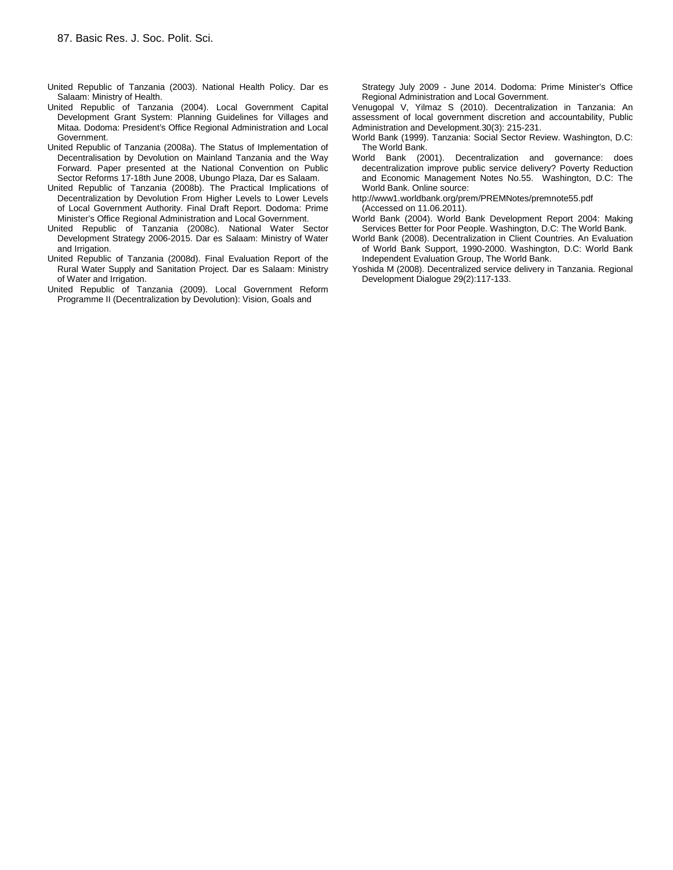- United Republic of Tanzania (2003). National Health Policy. Dar es Salaam: Ministry of Health.
- United Republic of Tanzania (2004). Local Government Capital Development Grant System: Planning Guidelines for Villages and Mitaa. Dodoma: President's Office Regional Administration and Local Government.
- United Republic of Tanzania (2008a). The Status of Implementation of Decentralisation by Devolution on Mainland Tanzania and the Way Forward. Paper presented at the National Convention on Public Sector Reforms 17-18th June 2008, Ubungo Plaza, Dar es Salaam.
- United Republic of Tanzania (2008b). The Practical Implications of Decentralization by Devolution From Higher Levels to Lower Levels of Local Government Authority. Final Draft Report. Dodoma: Prime Minister's Office Regional Administration and Local Government.
- United Republic of Tanzania (2008c). National Water Sector Development Strategy 2006-2015. Dar es Salaam: Ministry of Water and Irrigation.
- United Republic of Tanzania (2008d). Final Evaluation Report of the Rural Water Supply and Sanitation Project. Dar es Salaam: Ministry of Water and Irrigation.
- United Republic of Tanzania (2009). Local Government Reform Programme II (Decentralization by Devolution): Vision, Goals and

Strategy July 2009 - June 2014. Dodoma: Prime Minister's Office Regional Administration and Local Government.

Venugopal V, Yilmaz S (2010). Decentralization in Tanzania: An assessment of local government discretion and accountability, Public Administration and Development.30(3): 215-231.

- World Bank (1999). Tanzania: Social Sector Review. Washington, D.C: The World Bank.
- World Bank (2001). Decentralization and governance: does decentralization improve public service delivery? Poverty Reduction and Economic Management Notes No.55. Washington, D.C: The World Bank. Online source:
- http://www1.worldbank.org/prem/PREMNotes/premnote55.pdf (Accessed on 11.06.2011).
- World Bank (2004). World Bank Development Report 2004: Making Services Better for Poor People. Washington, D.C: The World Bank.
- World Bank (2008). Decentralization in Client Countries. An Evaluation of World Bank Support, 1990-2000. Washington, D.C: World Bank Independent Evaluation Group, The World Bank.
- Yoshida M (2008). Decentralized service delivery in Tanzania. Regional Development Dialogue 29(2):117-133.